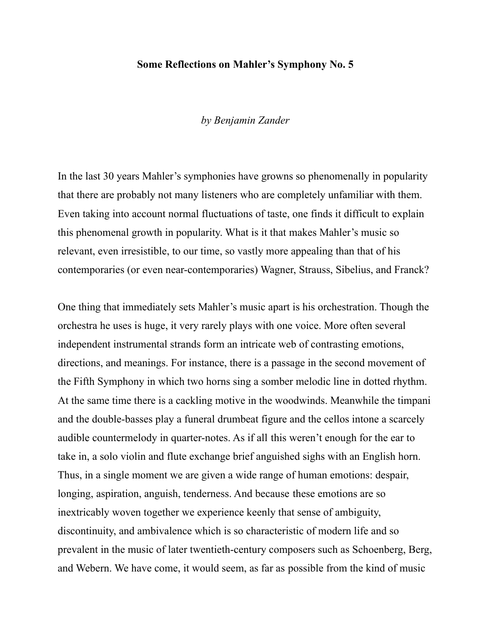#### **Some Reflections on Mahler's Symphony No. 5**

#### *by Benjamin Zander*

In the last 30 years Mahler's symphonies have growns so phenomenally in popularity that there are probably not many listeners who are completely unfamiliar with them. Even taking into account normal fluctuations of taste, one finds it difficult to explain this phenomenal growth in popularity. What is it that makes Mahler's music so relevant, even irresistible, to our time, so vastly more appealing than that of his contemporaries (or even near-contemporaries) Wagner, Strauss, Sibelius, and Franck?

One thing that immediately sets Mahler's music apart is his orchestration. Though the orchestra he uses is huge, it very rarely plays with one voice. More often several independent instrumental strands form an intricate web of contrasting emotions, directions, and meanings. For instance, there is a passage in the second movement of the Fifth Symphony in which two horns sing a somber melodic line in dotted rhythm. At the same time there is a cackling motive in the woodwinds. Meanwhile the timpani and the double-basses play a funeral drumbeat figure and the cellos intone a scarcely audible countermelody in quarter-notes. As if all this weren't enough for the ear to take in, a solo violin and flute exchange brief anguished sighs with an English horn. Thus, in a single moment we are given a wide range of human emotions: despair, longing, aspiration, anguish, tenderness. And because these emotions are so inextricably woven together we experience keenly that sense of ambiguity, discontinuity, and ambivalence which is so characteristic of modern life and so prevalent in the music of later twentieth-century composers such as Schoenberg, Berg, and Webern. We have come, it would seem, as far as possible from the kind of music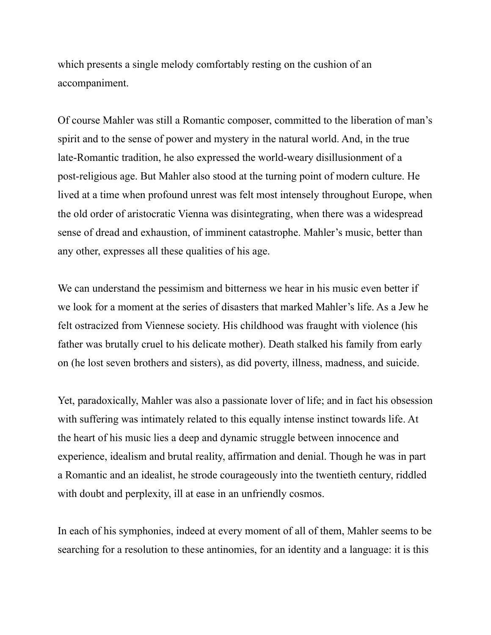which presents a single melody comfortably resting on the cushion of an accompaniment.

Of course Mahler was still a Romantic composer, committed to the liberation of man's spirit and to the sense of power and mystery in the natural world. And, in the true late-Romantic tradition, he also expressed the world-weary disillusionment of a post-religious age. But Mahler also stood at the turning point of modern culture. He lived at a time when profound unrest was felt most intensely throughout Europe, when the old order of aristocratic Vienna was disintegrating, when there was a widespread sense of dread and exhaustion, of imminent catastrophe. Mahler's music, better than any other, expresses all these qualities of his age.

We can understand the pessimism and bitterness we hear in his music even better if we look for a moment at the series of disasters that marked Mahler's life. As a Jew he felt ostracized from Viennese society. His childhood was fraught with violence (his father was brutally cruel to his delicate mother). Death stalked his family from early on (he lost seven brothers and sisters), as did poverty, illness, madness, and suicide.

Yet, paradoxically, Mahler was also a passionate lover of life; and in fact his obsession with suffering was intimately related to this equally intense instinct towards life. At the heart of his music lies a deep and dynamic struggle between innocence and experience, idealism and brutal reality, affirmation and denial. Though he was in part a Romantic and an idealist, he strode courageously into the twentieth century, riddled with doubt and perplexity, ill at ease in an unfriendly cosmos.

In each of his symphonies, indeed at every moment of all of them, Mahler seems to be searching for a resolution to these antinomies, for an identity and a language: it is this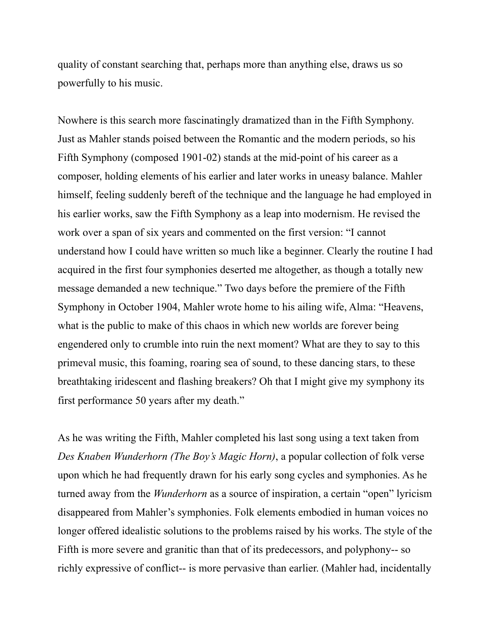quality of constant searching that, perhaps more than anything else, draws us so powerfully to his music.

Nowhere is this search more fascinatingly dramatized than in the Fifth Symphony. Just as Mahler stands poised between the Romantic and the modern periods, so his Fifth Symphony (composed 1901-02) stands at the mid-point of his career as a composer, holding elements of his earlier and later works in uneasy balance. Mahler himself, feeling suddenly bereft of the technique and the language he had employed in his earlier works, saw the Fifth Symphony as a leap into modernism. He revised the work over a span of six years and commented on the first version: "I cannot understand how I could have written so much like a beginner. Clearly the routine I had acquired in the first four symphonies deserted me altogether, as though a totally new message demanded a new technique." Two days before the premiere of the Fifth Symphony in October 1904, Mahler wrote home to his ailing wife, Alma: "Heavens, what is the public to make of this chaos in which new worlds are forever being engendered only to crumble into ruin the next moment? What are they to say to this primeval music, this foaming, roaring sea of sound, to these dancing stars, to these breathtaking iridescent and flashing breakers? Oh that I might give my symphony its first performance 50 years after my death."

As he was writing the Fifth, Mahler completed his last song using a text taken from *Des Knaben Wunderhorn (The Boy's Magic Horn)*, a popular collection of folk verse upon which he had frequently drawn for his early song cycles and symphonies. As he turned away from the *Wunderhorn* as a source of inspiration, a certain "open" lyricism disappeared from Mahler's symphonies. Folk elements embodied in human voices no longer offered idealistic solutions to the problems raised by his works. The style of the Fifth is more severe and granitic than that of its predecessors, and polyphony-- so richly expressive of conflict-- is more pervasive than earlier. (Mahler had, incidentally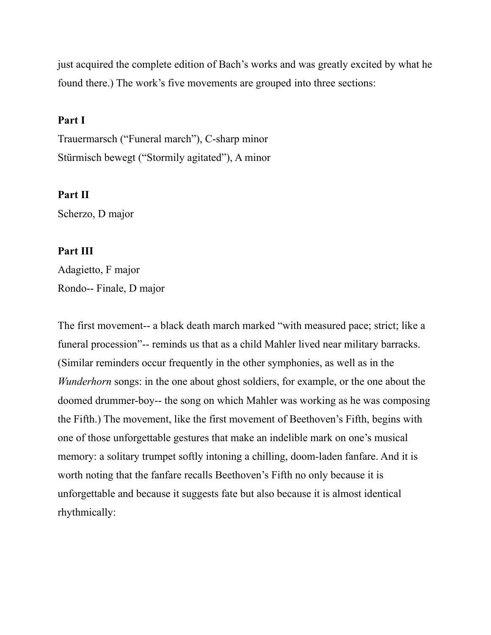just acquired the complete edition of Bach's works and was greatly excited by what he found there.) The work's five movements are grouped into three sections:

## **Part I**

Trauermarsch ("Funeral march"), C-sharp minor Stürmisch bewegt ("Stormily agitated"), A minor

### **Part II**

Scherzo, D major

## **Part III**

Adagietto, F major Rondo-- Finale, D major

The first movement-- a black death march marked "with measured pace; strict; like a funeral procession"-- reminds us that as a child Mahler lived near military barracks. (Similar reminders occur frequently in the other symphonies, as well as in the *Wunderhorn* songs: in the one about ghost soldiers, for example, or the one about the doomed drummer-boy-- the song on which Mahler was working as he was composing the Fifth.) The movement, like the first movement of Beethoven's Fifth, begins with one of those unforgettable gestures that make an indelible mark on one's musical memory: a solitary trumpet softly intoning a chilling, doom-laden fanfare. And it is worth noting that the fanfare recalls Beethoven's Fifth no only because it is unforgettable and because it suggests fate but also because it is almost identical rhythmically: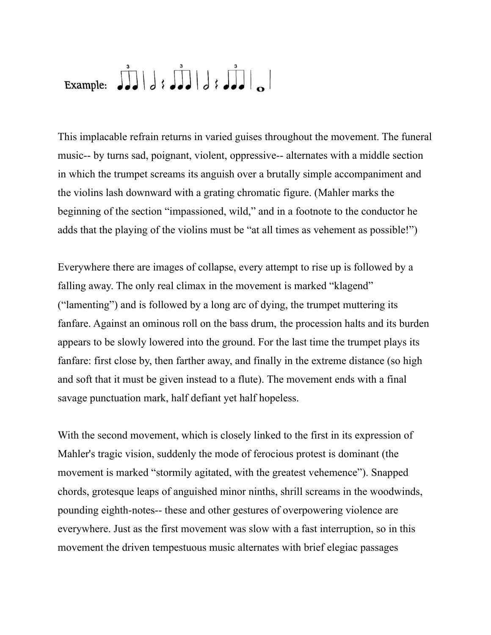# Example:  $JJ/J$  ;  $JJ/J$  ;  $JJ$

This implacable refrain returns in varied guises throughout the movement. The funeral music-- by turns sad, poignant, violent, oppressive-- alternates with a middle section in which the trumpet screams its anguish over a brutally simple accompaniment and the violins lash downward with a grating chromatic figure. (Mahler marks the beginning of the section "impassioned, wild," and in a footnote to the conductor he adds that the playing of the violins must be "at all times as vehement as possible!")

Everywhere there are images of collapse, every attempt to rise up is followed by a falling away. The only real climax in the movement is marked "klagend" ("lamenting") and is followed by a long arc of dying, the trumpet muttering its fanfare. Against an ominous roll on the bass drum, the procession halts and its burden appears to be slowly lowered into the ground. For the last time the trumpet plays its fanfare: first close by, then farther away, and finally in the extreme distance (so high and soft that it must be given instead to a flute). The movement ends with a final savage punctuation mark, half defiant yet half hopeless.

With the second movement, which is closely linked to the first in its expression of Mahler's tragic vision, suddenly the mode of ferocious protest is dominant (the movement is marked "stormily agitated, with the greatest vehemence"). Snapped chords, grotesque leaps of anguished minor ninths, shrill screams in the woodwinds, pounding eighth-notes-- these and other gestures of overpowering violence are everywhere. Just as the first movement was slow with a fast interruption, so in this movement the driven tempestuous music alternates with brief elegiac passages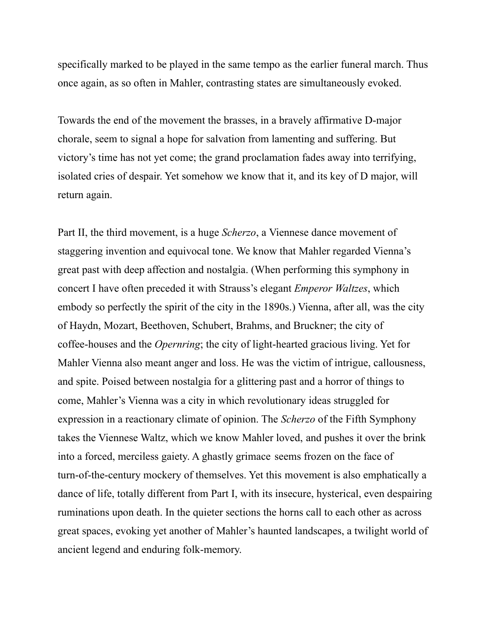specifically marked to be played in the same tempo as the earlier funeral march. Thus once again, as so often in Mahler, contrasting states are simultaneously evoked.

Towards the end of the movement the brasses, in a bravely affirmative D-major chorale, seem to signal a hope for salvation from lamenting and suffering. But victory's time has not yet come; the grand proclamation fades away into terrifying, isolated cries of despair. Yet somehow we know that it, and its key of D major, will return again.

Part II, the third movement, is a huge *Scherzo*, a Viennese dance movement of staggering invention and equivocal tone. We know that Mahler regarded Vienna's great past with deep affection and nostalgia. (When performing this symphony in concert I have often preceded it with Strauss's elegant *Emperor Waltzes*, which embody so perfectly the spirit of the city in the 1890s.) Vienna, after all, was the city of Haydn, Mozart, Beethoven, Schubert, Brahms, and Bruckner; the city of coffee-houses and the *Opernring*; the city of light-hearted gracious living. Yet for Mahler Vienna also meant anger and loss. He was the victim of intrigue, callousness, and spite. Poised between nostalgia for a glittering past and a horror of things to come, Mahler's Vienna was a city in which revolutionary ideas struggled for expression in a reactionary climate of opinion. The *Scherzo* of the Fifth Symphony takes the Viennese Waltz, which we know Mahler loved, and pushes it over the brink into a forced, merciless gaiety. A ghastly grimace seems frozen on the face of turn-of-the-century mockery of themselves. Yet this movement is also emphatically a dance of life, totally different from Part I, with its insecure, hysterical, even despairing ruminations upon death. In the quieter sections the horns call to each other as across great spaces, evoking yet another of Mahler's haunted landscapes, a twilight world of ancient legend and enduring folk-memory.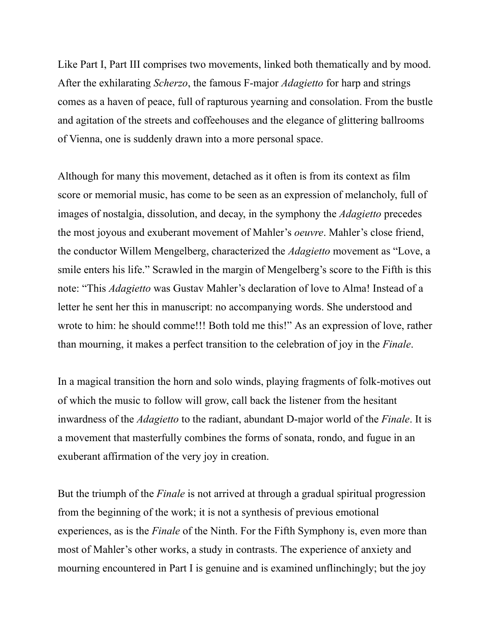Like Part I, Part III comprises two movements, linked both thematically and by mood. After the exhilarating *Scherzo*, the famous F-major *Adagietto* for harp and strings comes as a haven of peace, full of rapturous yearning and consolation. From the bustle and agitation of the streets and coffeehouses and the elegance of glittering ballrooms of Vienna, one is suddenly drawn into a more personal space.

Although for many this movement, detached as it often is from its context as film score or memorial music, has come to be seen as an expression of melancholy, full of images of nostalgia, dissolution, and decay, in the symphony the *Adagietto* precedes the most joyous and exuberant movement of Mahler's *oeuvre*. Mahler's close friend, the conductor Willem Mengelberg, characterized the *Adagietto* movement as "Love, a smile enters his life." Scrawled in the margin of Mengelberg's score to the Fifth is this note: "This *Adagietto* was Gustav Mahler's declaration of love to Alma! Instead of a letter he sent her this in manuscript: no accompanying words. She understood and wrote to him: he should comme!!! Both told me this!" As an expression of love, rather than mourning, it makes a perfect transition to the celebration of joy in the *Finale*.

In a magical transition the horn and solo winds, playing fragments of folk-motives out of which the music to follow will grow, call back the listener from the hesitant inwardness of the *Adagietto* to the radiant, abundant D-major world of the *Finale*. It is a movement that masterfully combines the forms of sonata, rondo, and fugue in an exuberant affirmation of the very joy in creation.

But the triumph of the *Finale* is not arrived at through a gradual spiritual progression from the beginning of the work; it is not a synthesis of previous emotional experiences, as is the *Finale* of the Ninth. For the Fifth Symphony is, even more than most of Mahler's other works, a study in contrasts. The experience of anxiety and mourning encountered in Part I is genuine and is examined unflinchingly; but the joy